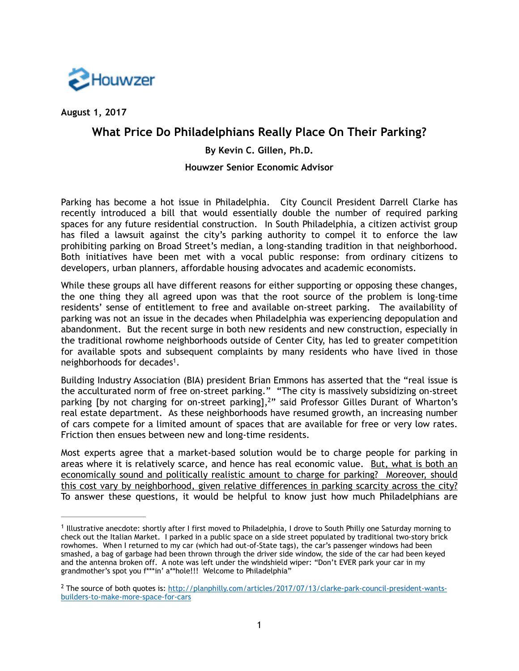

**August 1, 2017**

# **What Price Do Philadelphians Really Place On Their Parking?**

## **By Kevin C. Gillen, Ph.D.**

## **Houwzer Senior Economic Advisor**

Parking has become a hot issue in Philadelphia. City Council President Darrell Clarke has recently introduced a bill that would essentially double the number of required parking spaces for any future residential construction. In South Philadelphia, a citizen activist group has filed a lawsuit against the city's parking authority to compel it to enforce the law prohibiting parking on Broad Street's median, a long-standing tradition in that neighborhood. Both initiatives have been met with a vocal public response: from ordinary citizens to developers, urban planners, affordable housing advocates and academic economists.

While these groups all have different reasons for either supporting or opposing these changes, the one thing they all agreed upon was that the root source of the problem is long-time residents' sense of entitlement to free and available on-street parking. The availability of parking was not an issue in the decades when Philadelphia was experiencing depopulation and abandonment. But the recent surge in both new residents and new construction, especially in the traditional rowhome neighborhoods outside of Center City, has led to greater competition for available spots and subsequent complaints by many residents who have lived in those neighborhoods for decades<sup>1</sup>.

Building Industry Association (BIA) president Brian Emmons has asserted that the "real issue is the acculturated norm of free on-street parking." "The city is massively subsidizing on-street parking [by not charging for on-street parking],<sup>2</sup>" said Professor Gilles Durant of Wharton's real estate department. As these neighborhoods have resumed growth, an increasing number of cars compete for a limited amount of spaces that are available for free or very low rates. Friction then ensues between new and long-time residents.

Most experts agree that a market-based solution would be to charge people for parking in areas where it is relatively scarce, and hence has real economic value. But, what is both an economically sound and politically realistic amount to charge for parking? Moreover, should this cost vary by neighborhood, given relative differences in parking scarcity across the city? To answer these questions, it would be helpful to know just how much Philadelphians are

<sup>&</sup>lt;sup>1</sup> Illustrative anecdote: shortly after I first moved to Philadelphia, I drove to South Philly one Saturday morning to check out the Italian Market. I parked in a public space on a side street populated by traditional two-story brick rowhomes. When I returned to my car (which had out-of-State tags), the car's passenger windows had been smashed, a bag of garbage had been thrown through the driver side window, the side of the car had been keyed and the antenna broken off. A note was left under the windshield wiper: "Don't EVER park your car in my grandmother's spot you f\*\*\*in' a\*\*hole!!! Welcome to Philadelphia"

<sup>&</sup>lt;sup>2</sup> [The source of both quotes is: http://planphilly.com/articles/2017/07/13/clarke-park-council-president-wants](http://planphilly.com/articles/2017/07/13/clarke-park-council-president-wants-builders-to-make-more-space-for-cars) builders-to-make-more-space-for-cars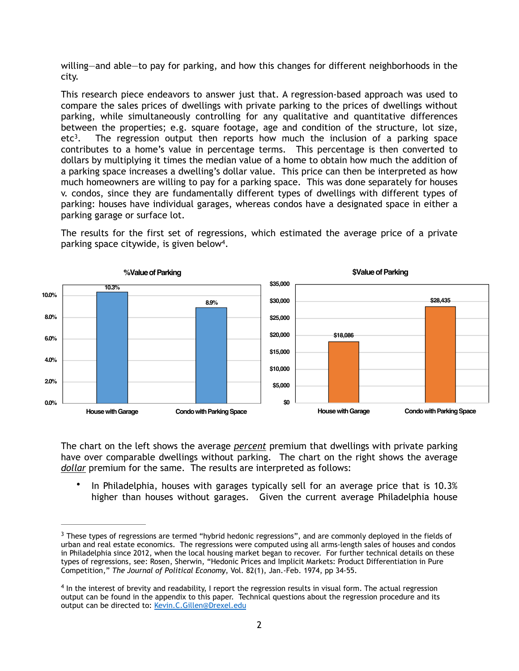willing—and able—to pay for parking, and how this changes for different neighborhoods in the city.

This research piece endeavors to answer just that. A regression-based approach was used to compare the sales prices of dwellings with private parking to the prices of dwellings without parking, while simultaneously controlling for any qualitative and quantitative differences between the properties; e.g. square footage, age and condition of the structure, lot size, etc<sup>3</sup>. The regression output then reports how much the inclusion of a parking space contributes to a home's value in percentage terms. This percentage is then converted to dollars by multiplying it times the median value of a home to obtain how much the addition of a parking space increases a dwelling's dollar value. This price can then be interpreted as how much homeowners are willing to pay for a parking space. This was done separately for houses v. condos, since they are fundamentally different types of dwellings with different types of parking: houses have individual garages, whereas condos have a designated space in either a parking garage or surface lot.

The results for the first set of regressions, which estimated the average price of a private parking space citywide, is given below<sup>4</sup>.



The chart on the left shows the average *percent* premium that dwellings with private parking have over comparable dwellings without parking. The chart on the right shows the average *dollar* premium for the same. The results are interpreted as follows:

• In Philadelphia, houses with garages typically sell for an average price that is 10.3% higher than houses without garages. Given the current average Philadelphia house

<sup>&</sup>lt;sup>3</sup> These types of regressions are termed "hybrid hedonic regressions", and are commonly deployed in the fields of urban and real estate economics. The regressions were computed using all arms-length sales of houses and condos in Philadelphia since 2012, when the local housing market began to recover. For further technical details on these types of regressions, see: Rosen, Sherwin, "Hedonic Prices and Implicit Markets: Product Differentiation in Pure Competition," *The Journal of Political Economy*, Vol. 82(1), Jan.-Feb. 1974, pp 34-55.

 $<sup>4</sup>$  In the interest of brevity and readability, I report the regression results in visual form. The actual regression</sup> output can be found in the appendix to this paper. Technical questions about the regression procedure and its output can be directed to: [Kevin.C.Gillen@Drexel.edu](mailto:Kevin.C.Gillen@Drexel.edu)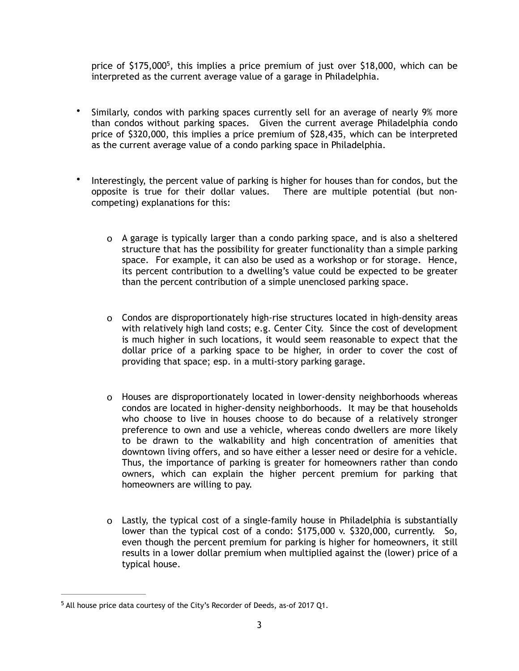price of  $$175,000^5$ , this implies a price premium of just over  $$18,000$ , which can be interpreted as the current average value of a garage in Philadelphia.

- Similarly, condos with parking spaces currently sell for an average of nearly 9% more than condos without parking spaces. Given the current average Philadelphia condo price of \$320,000, this implies a price premium of \$28,435, which can be interpreted as the current average value of a condo parking space in Philadelphia.
- Interestingly, the percent value of parking is higher for houses than for condos, but the opposite is true for their dollar values. There are multiple potential (but noncompeting) explanations for this:
	- o A garage is typically larger than a condo parking space, and is also a sheltered structure that has the possibility for greater functionality than a simple parking space. For example, it can also be used as a workshop or for storage. Hence, its percent contribution to a dwelling's value could be expected to be greater than the percent contribution of a simple unenclosed parking space.
	- o Condos are disproportionately high-rise structures located in high-density areas with relatively high land costs; e.g. Center City. Since the cost of development is much higher in such locations, it would seem reasonable to expect that the dollar price of a parking space to be higher, in order to cover the cost of providing that space; esp. in a multi-story parking garage.
	- o Houses are disproportionately located in lower-density neighborhoods whereas condos are located in higher-density neighborhoods. It may be that households who choose to live in houses choose to do because of a relatively stronger preference to own and use a vehicle, whereas condo dwellers are more likely to be drawn to the walkability and high concentration of amenities that downtown living offers, and so have either a lesser need or desire for a vehicle. Thus, the importance of parking is greater for homeowners rather than condo owners, which can explain the higher percent premium for parking that homeowners are willing to pay.
	- o Lastly, the typical cost of a single-family house in Philadelphia is substantially lower than the typical cost of a condo: \$175,000 v. \$320,000, currently. So, even though the percent premium for parking is higher for homeowners, it still results in a lower dollar premium when multiplied against the (lower) price of a typical house.

<sup>&</sup>lt;sup>5</sup> All house price data courtesy of the City's Recorder of Deeds, as-of 2017 Q1.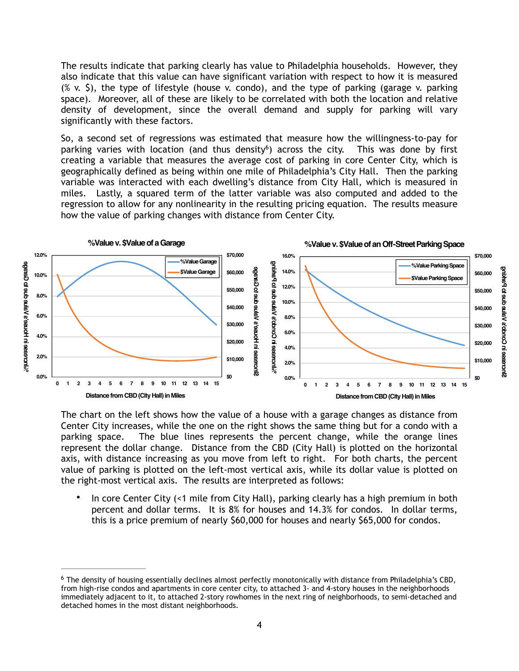The results indicate that parking clearly has value to Philadelphia households. However, they also indicate that this value can have significant variation with respect to how it is measured  $(X, Y, \xi)$ , the type of lifestyle (house v. condo), and the type of parking (garage v. parking space). Moreover, all of these are likely to be correlated with both the location and relative density of development, since the overall demand and supply for parking will vary significantly with these factors.

So, a second set of regressions was estimated that measure how the willingness-to-pay for parking varies with location (and thus density<sup>6</sup>) across the city. This was done by first creating a variable that measures the average cost of parking in core Center City, which is geographically defined as being within one mile of Philadelphia's City Hall. Then the parking variable was interacted with each dwelling's distance from City Hall, which is measured in miles. Lastly, a squared term of the latter variable was also computed and added to the regression to allow for any nonlinearity in the resulting pricing equation. The results measure how the value of parking changes with distance from Center City.



The chart on the left shows how the value of a house with a garage changes as distance from Center City increases, while the one on the right shows the same thing but for a condo with a parking space. The blue lines represents the percent change, while the orange lines represent the dollar change. Distance from the CBD (City Hall) is plotted on the horizontal axis, with distance increasing as you move from left to right. For both charts, the percent value of parking is plotted on the left-most vertical axis, while its dollar value is plotted on the right-most vertical axis. The results are interpreted as follows:

In core Center City (<1 mile from City Hall), parking clearly has a high premium in both percent and dollar terms. It is 8% for houses and 14.3% for condos. In dollar terms, this is a price premium of nearly \$60,000 for houses and nearly \$65,000 for condos.

The density of housing essentially declines almost perfectly monotonically with distance from Philadelphia's CBD, 6 from high-rise condos and apartments in core center city, to attached 3- and 4-story houses in the neighborhoods immediately adjacent to it, to attached 2-story rowhomes in the next ring of neighborhoods, to semi-detached and detached homes in the most distant neighborhoods.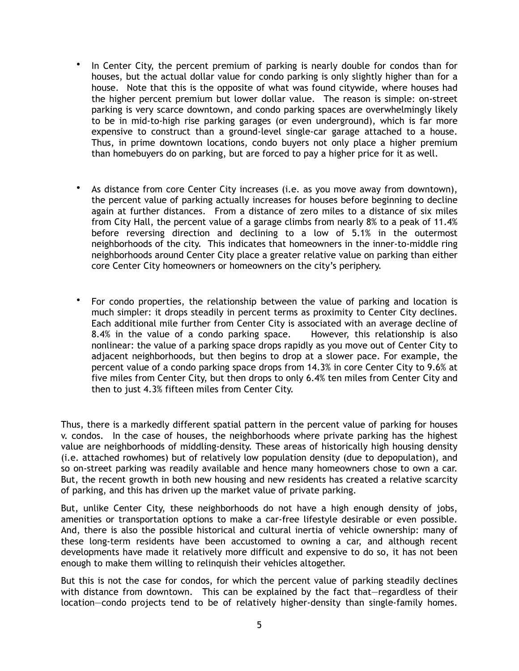- In Center City, the percent premium of parking is nearly double for condos than for houses, but the actual dollar value for condo parking is only slightly higher than for a house. Note that this is the opposite of what was found citywide, where houses had the higher percent premium but lower dollar value. The reason is simple: on-street parking is very scarce downtown, and condo parking spaces are overwhelmingly likely to be in mid-to-high rise parking garages (or even underground), which is far more expensive to construct than a ground-level single-car garage attached to a house. Thus, in prime downtown locations, condo buyers not only place a higher premium than homebuyers do on parking, but are forced to pay a higher price for it as well.
- As distance from core Center City increases (i.e. as you move away from downtown), the percent value of parking actually increases for houses before beginning to decline again at further distances. From a distance of zero miles to a distance of six miles from City Hall, the percent value of a garage climbs from nearly 8% to a peak of 11.4% before reversing direction and declining to a low of 5.1% in the outermost neighborhoods of the city. This indicates that homeowners in the inner-to-middle ring neighborhoods around Center City place a greater relative value on parking than either core Center City homeowners or homeowners on the city's periphery.
- For condo properties, the relationship between the value of parking and location is much simpler: it drops steadily in percent terms as proximity to Center City declines. Each additional mile further from Center City is associated with an average decline of 8.4% in the value of a condo parking space. However, this relationship is also nonlinear: the value of a parking space drops rapidly as you move out of Center City to adjacent neighborhoods, but then begins to drop at a slower pace. For example, the percent value of a condo parking space drops from 14.3% in core Center City to 9.6% at five miles from Center City, but then drops to only 6.4% ten miles from Center City and then to just 4.3% fifteen miles from Center City.

Thus, there is a markedly different spatial pattern in the percent value of parking for houses v. condos. In the case of houses, the neighborhoods where private parking has the highest value are neighborhoods of middling-density. These areas of historically high housing density (i.e. attached rowhomes) but of relatively low population density (due to depopulation), and so on-street parking was readily available and hence many homeowners chose to own a car. But, the recent growth in both new housing and new residents has created a relative scarcity of parking, and this has driven up the market value of private parking.

But, unlike Center City, these neighborhoods do not have a high enough density of jobs, amenities or transportation options to make a car-free lifestyle desirable or even possible. And, there is also the possible historical and cultural inertia of vehicle ownership: many of these long-term residents have been accustomed to owning a car, and although recent developments have made it relatively more difficult and expensive to do so, it has not been enough to make them willing to relinquish their vehicles altogether.

But this is not the case for condos, for which the percent value of parking steadily declines with distance from downtown. This can be explained by the fact that-regardless of their location—condo projects tend to be of relatively higher-density than single-family homes.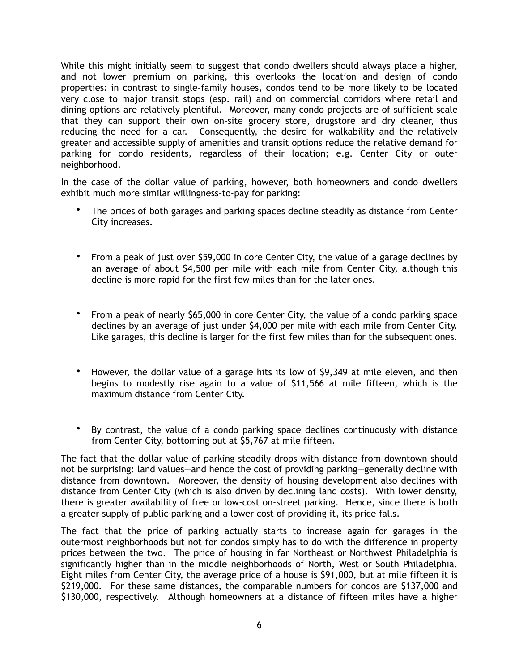While this might initially seem to suggest that condo dwellers should always place a higher, and not lower premium on parking, this overlooks the location and design of condo properties: in contrast to single-family houses, condos tend to be more likely to be located very close to major transit stops (esp. rail) and on commercial corridors where retail and dining options are relatively plentiful. Moreover, many condo projects are of sufficient scale that they can support their own on-site grocery store, drugstore and dry cleaner, thus reducing the need for a car. Consequently, the desire for walkability and the relatively greater and accessible supply of amenities and transit options reduce the relative demand for parking for condo residents, regardless of their location; e.g. Center City or outer neighborhood.

In the case of the dollar value of parking, however, both homeowners and condo dwellers exhibit much more similar willingness-to-pay for parking:

- The prices of both garages and parking spaces decline steadily as distance from Center City increases.
- From a peak of just over \$59,000 in core Center City, the value of a garage declines by an average of about \$4,500 per mile with each mile from Center City, although this decline is more rapid for the first few miles than for the later ones.
- From a peak of nearly \$65,000 in core Center City, the value of a condo parking space declines by an average of just under \$4,000 per mile with each mile from Center City. Like garages, this decline is larger for the first few miles than for the subsequent ones.
- However, the dollar value of a garage hits its low of \$9,349 at mile eleven, and then begins to modestly rise again to a value of \$11,566 at mile fifteen, which is the maximum distance from Center City.
- By contrast, the value of a condo parking space declines continuously with distance from Center City, bottoming out at \$5,767 at mile fifteen.

The fact that the dollar value of parking steadily drops with distance from downtown should not be surprising: land values—and hence the cost of providing parking—generally decline with distance from downtown. Moreover, the density of housing development also declines with distance from Center City (which is also driven by declining land costs). With lower density, there is greater availability of free or low-cost on-street parking. Hence, since there is both a greater supply of public parking and a lower cost of providing it, its price falls.

The fact that the price of parking actually starts to increase again for garages in the outermost neighborhoods but not for condos simply has to do with the difference in property prices between the two. The price of housing in far Northeast or Northwest Philadelphia is significantly higher than in the middle neighborhoods of North, West or South Philadelphia. Eight miles from Center City, the average price of a house is \$91,000, but at mile fifteen it is \$219,000. For these same distances, the comparable numbers for condos are \$137,000 and \$130,000, respectively. Although homeowners at a distance of fifteen miles have a higher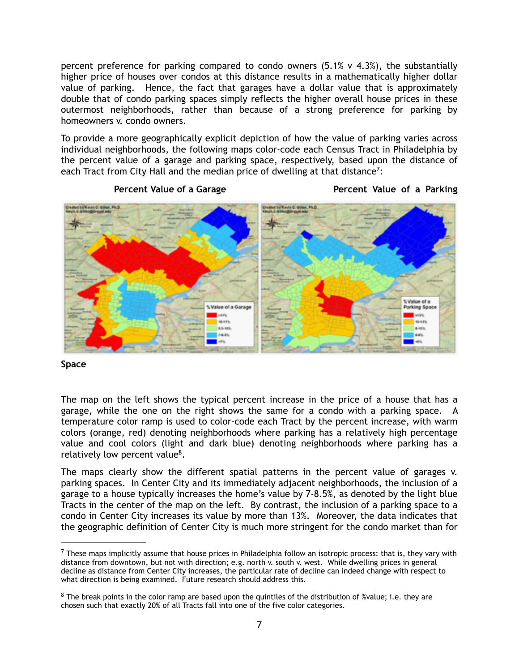percent preference for parking compared to condo owners  $(5.1\% \text{ v } 4.3\%)$ , the substantially higher price of houses over condos at this distance results in a mathematically higher dollar value of parking. Hence, the fact that garages have a dollar value that is approximately double that of condo parking spaces simply reflects the higher overall house prices in these outermost neighborhoods, rather than because of a strong preference for parking by homeowners v. condo owners.

To provide a more geographically explicit depiction of how the value of parking varies across individual neighborhoods, the following maps color-code each Census Tract in Philadelphia by the percent value of a garage and parking space, respectively, based upon the distance of each Tract from City Hall and the median price of dwelling at that distance<sup>7</sup>:



## **Percent Value of a Garage Server Allen Server Allen Percent Value of a Parking**

## **Space**

The map on the left shows the typical percent increase in the price of a house that has a garage, while the one on the right shows the same for a condo with a parking space. A temperature color ramp is used to color-code each Tract by the percent increase, with warm colors (orange, red) denoting neighborhoods where parking has a relatively high percentage value and cool colors (light and dark blue) denoting neighborhoods where parking has a relatively low percent value $8$ .

The maps clearly show the different spatial patterns in the percent value of garages v. parking spaces. In Center City and its immediately adjacent neighborhoods, the inclusion of a garage to a house typically increases the home's value by 7-8.5%, as denoted by the light blue Tracts in the center of the map on the left. By contrast, the inclusion of a parking space to a condo in Center City increases its value by more than 13%. Moreover, the data indicates that the geographic definition of Center City is much more stringent for the condo market than for

 $7$  These maps implicitly assume that house prices in Philadelphia follow an isotropic process: that is, they vary with distance from downtown, but not with direction; e.g. north v. south v. west. While dwelling prices in general decline as distance from Center City increases, the particular rate of decline can indeed change with respect to what direction is being examined. Future research should address this.

 $8$  The break points in the color ramp are based upon the quintiles of the distribution of %value; i.e. they are chosen such that exactly 20% of all Tracts fall into one of the five color categories.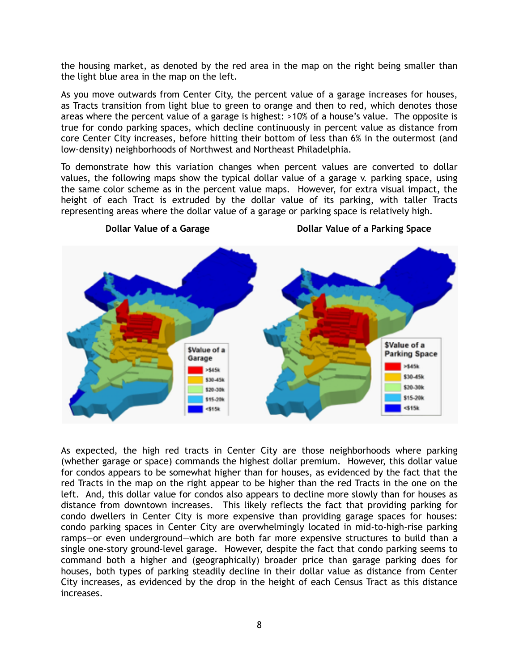the housing market, as denoted by the red area in the map on the right being smaller than the light blue area in the map on the left.

As you move outwards from Center City, the percent value of a garage increases for houses, as Tracts transition from light blue to green to orange and then to red, which denotes those areas where the percent value of a garage is highest: >10% of a house's value. The opposite is true for condo parking spaces, which decline continuously in percent value as distance from core Center City increases, before hitting their bottom of less than 6% in the outermost (and low-density) neighborhoods of Northwest and Northeast Philadelphia.

To demonstrate how this variation changes when percent values are converted to dollar values, the following maps show the typical dollar value of a garage v. parking space, using the same color scheme as in the percent value maps. However, for extra visual impact, the height of each Tract is extruded by the dollar value of its parking, with taller Tracts representing areas where the dollar value of a garage or parking space is relatively high.



As expected, the high red tracts in Center City are those neighborhoods where parking (whether garage or space) commands the highest dollar premium. However, this dollar value for condos appears to be somewhat higher than for houses, as evidenced by the fact that the red Tracts in the map on the right appear to be higher than the red Tracts in the one on the left. And, this dollar value for condos also appears to decline more slowly than for houses as distance from downtown increases. This likely reflects the fact that providing parking for condo dwellers in Center City is more expensive than providing garage spaces for houses: condo parking spaces in Center City are overwhelmingly located in mid-to-high-rise parking ramps—or even underground—which are both far more expensive structures to build than a single one-story ground-level garage. However, despite the fact that condo parking seems to command both a higher and (geographically) broader price than garage parking does for houses, both types of parking steadily decline in their dollar value as distance from Center City increases, as evidenced by the drop in the height of each Census Tract as this distance increases.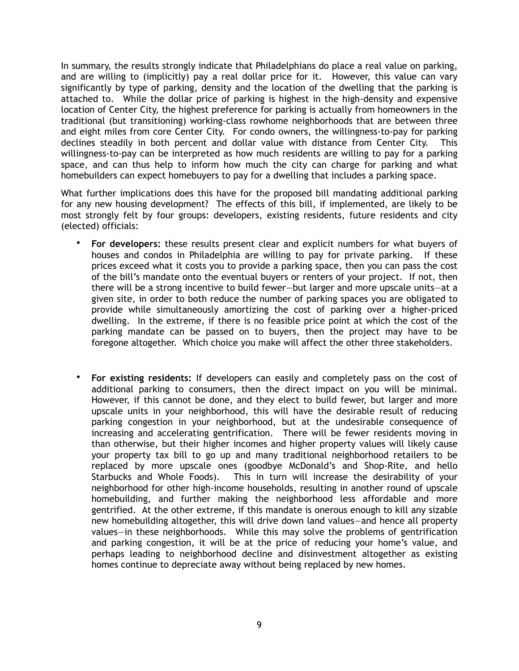In summary, the results strongly indicate that Philadelphians do place a real value on parking, and are willing to (implicitly) pay a real dollar price for it. However, this value can vary significantly by type of parking, density and the location of the dwelling that the parking is attached to. While the dollar price of parking is highest in the high-density and expensive location of Center City, the highest preference for parking is actually from homeowners in the traditional (but transitioning) working-class rowhome neighborhoods that are between three and eight miles from core Center City. For condo owners, the willingness-to-pay for parking declines steadily in both percent and dollar value with distance from Center City. This willingness-to-pay can be interpreted as how much residents are willing to pay for a parking space, and can thus help to inform how much the city can charge for parking and what homebuilders can expect homebuyers to pay for a dwelling that includes a parking space.

What further implications does this have for the proposed bill mandating additional parking for any new housing development? The effects of this bill, if implemented, are likely to be most strongly felt by four groups: developers, existing residents, future residents and city (elected) officials:

- **For developers:** these results present clear and explicit numbers for what buyers of houses and condos in Philadelphia are willing to pay for private parking. If these prices exceed what it costs you to provide a parking space, then you can pass the cost of the bill's mandate onto the eventual buyers or renters of your project. If not, then there will be a strong incentive to build fewer—but larger and more upscale units—at a given site, in order to both reduce the number of parking spaces you are obligated to provide while simultaneously amortizing the cost of parking over a higher-priced dwelling. In the extreme, if there is no feasible price point at which the cost of the parking mandate can be passed on to buyers, then the project may have to be foregone altogether. Which choice you make will affect the other three stakeholders.
- **For existing residents:** If developers can easily and completely pass on the cost of additional parking to consumers, then the direct impact on you will be minimal. However, if this cannot be done, and they elect to build fewer, but larger and more upscale units in your neighborhood, this will have the desirable result of reducing parking congestion in your neighborhood, but at the undesirable consequence of increasing and accelerating gentrification. There will be fewer residents moving in than otherwise, but their higher incomes and higher property values will likely cause your property tax bill to go up and many traditional neighborhood retailers to be replaced by more upscale ones (goodbye McDonald's and Shop-Rite, and hello Starbucks and Whole Foods). This in turn will increase the desirability of your neighborhood for other high-income households, resulting in another round of upscale homebuilding, and further making the neighborhood less affordable and more gentrified. At the other extreme, if this mandate is onerous enough to kill any sizable new homebuilding altogether, this will drive down land values—and hence all property values—in these neighborhoods. While this may solve the problems of gentrification and parking congestion, it will be at the price of reducing your home's value, and perhaps leading to neighborhood decline and disinvestment altogether as existing homes continue to depreciate away without being replaced by new homes.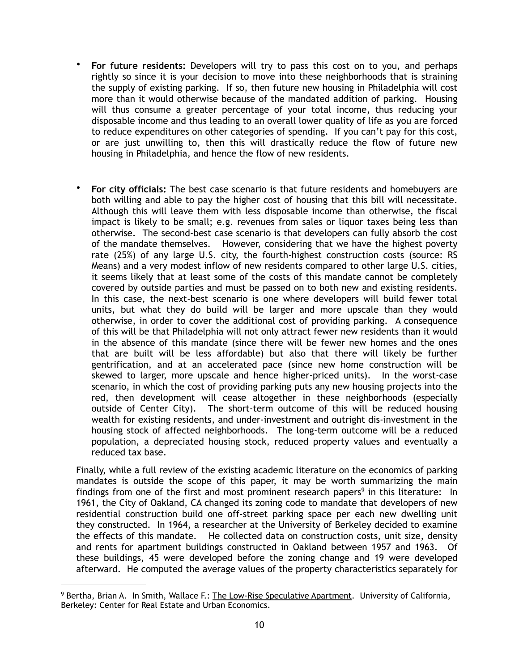- **For future residents:** Developers will try to pass this cost on to you, and perhaps rightly so since it is your decision to move into these neighborhoods that is straining the supply of existing parking. If so, then future new housing in Philadelphia will cost more than it would otherwise because of the mandated addition of parking. Housing will thus consume a greater percentage of your total income, thus reducing your disposable income and thus leading to an overall lower quality of life as you are forced to reduce expenditures on other categories of spending. If you can't pay for this cost, or are just unwilling to, then this will drastically reduce the flow of future new housing in Philadelphia, and hence the flow of new residents.
- **For city officials:** The best case scenario is that future residents and homebuyers are both willing and able to pay the higher cost of housing that this bill will necessitate. Although this will leave them with less disposable income than otherwise, the fiscal impact is likely to be small; e.g. revenues from sales or liquor taxes being less than otherwise. The second-best case scenario is that developers can fully absorb the cost of the mandate themselves. However, considering that we have the highest poverty rate (25%) of any large U.S. city, the fourth-highest construction costs (source: RS Means) and a very modest inflow of new residents compared to other large U.S. cities, it seems likely that at least some of the costs of this mandate cannot be completely covered by outside parties and must be passed on to both new and existing residents. In this case, the next-best scenario is one where developers will build fewer total units, but what they do build will be larger and more upscale than they would otherwise, in order to cover the additional cost of providing parking. A consequence of this will be that Philadelphia will not only attract fewer new residents than it would in the absence of this mandate (since there will be fewer new homes and the ones that are built will be less affordable) but also that there will likely be further gentrification, and at an accelerated pace (since new home construction will be skewed to larger, more upscale and hence higher-priced units). In the worst-case scenario, in which the cost of providing parking puts any new housing projects into the red, then development will cease altogether in these neighborhoods (especially outside of Center City). The short-term outcome of this will be reduced housing wealth for existing residents, and under-investment and outright dis-investment in the housing stock of affected neighborhoods. The long-term outcome will be a reduced population, a depreciated housing stock, reduced property values and eventually a reduced tax base.

Finally, while a full review of the existing academic literature on the economics of parking mandates is outside the scope of this paper, it may be worth summarizing the main findings from one of the first and most prominent research papers<sup>9</sup> in this literature: In 1961, the City of Oakland, CA changed its zoning code to mandate that developers of new residential construction build one off-street parking space per each new dwelling unit they constructed. In 1964, a researcher at the University of Berkeley decided to examine the effects of this mandate. He collected data on construction costs, unit size, density and rents for apartment buildings constructed in Oakland between 1957 and 1963. Of these buildings, 45 were developed before the zoning change and 19 were developed afterward. He computed the average values of the property characteristics separately for

<sup>&</sup>lt;sup>9</sup> Bertha, Brian A. In Smith, Wallace F.: The Low-Rise Speculative Apartment. University of California, Berkeley: Center for Real Estate and Urban Economics.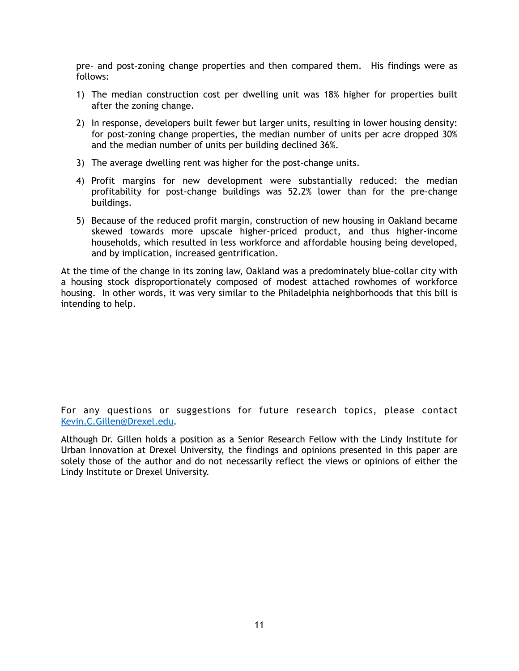pre- and post-zoning change properties and then compared them. His findings were as follows:

- 1) The median construction cost per dwelling unit was 18% higher for properties built after the zoning change.
- 2) In response, developers built fewer but larger units, resulting in lower housing density: for post-zoning change properties, the median number of units per acre dropped 30% and the median number of units per building declined 36%.
- 3) The average dwelling rent was higher for the post-change units.
- 4) Profit margins for new development were substantially reduced: the median profitability for post-change buildings was 52.2% lower than for the pre-change buildings.
- 5) Because of the reduced profit margin, construction of new housing in Oakland became skewed towards more upscale higher-priced product, and thus higher-income households, which resulted in less workforce and affordable housing being developed, and by implication, increased gentrification.

At the time of the change in its zoning law, Oakland was a predominately blue-collar city with a housing stock disproportionately composed of modest attached rowhomes of workforce housing. In other words, it was very similar to the Philadelphia neighborhoods that this bill is intending to help.

For any questions or suggestions for future research topics, please contact [Kevin.C.Gillen@Drexel.edu.](mailto:Kevin.C.Gillen@Drexel.edu)

Although Dr. Gillen holds a position as a Senior Research Fellow with the Lindy Institute for Urban Innovation at Drexel University, the findings and opinions presented in this paper are solely those of the author and do not necessarily reflect the views or opinions of either the Lindy Institute or Drexel University.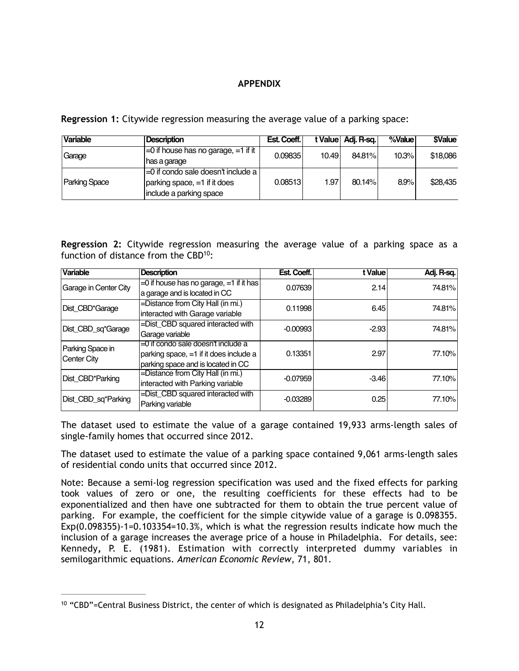## **APPENDIX**

**Regression 1:** Citywide regression measuring the average value of a parking space:

| <b>Variable</b>      | <b>Description</b>                         | Est. Coeff. |       | t Value   Adj. R-sq. | %Value | <b><i><u>SValue</u></i></b> |
|----------------------|--------------------------------------------|-------------|-------|----------------------|--------|-----------------------------|
| Garage               | $\mid$ =0 if house has no garage, =1 if it | 0.09835     | 10.49 | 84.81%               | 10.3%  | \$18,086                    |
|                      | has a garage                               |             |       |                      |        |                             |
| <b>Parking Space</b> | =0 if condo sale doesn't include a         |             |       |                      |        |                             |
|                      | $\vert$ parking space, $=1$ if it does     | 0.08513     | 1.97  | 80.14%               | 8.9%   | \$28,435                    |
|                      | include a parking space                    |             |       |                      |        |                             |

**Regression 2:** Citywide regression measuring the average value of a parking space as a function of distance from the  $CBD^{10}$ :

| <b>Variable</b>                 | <b>Description</b>                            | Est. Coeff. | t Value | Adj. R-sq. |
|---------------------------------|-----------------------------------------------|-------------|---------|------------|
| Garage in Center City           | $=$ 0 if house has no garage, $=$ 1 if it has | 0.07639     | 2.14    | 74.81%     |
|                                 | a garage and is located in CC                 |             |         |            |
| Dist CBD*Garage                 | =Distance from City Hall (in mi.)             | 0.11998     | 6.45    | 74.81%     |
|                                 | interacted with Garage variable               |             |         |            |
| Dist_CBD_sq*Garage              | =Dist_CBD squared interacted with             | $-0.00993$  | $-2.93$ | 74.81%     |
|                                 | Garage variable                               |             |         |            |
| Parking Space in<br>Center City | $=$ 0 if condo sale doesn't include a         |             |         |            |
|                                 | parking space, $=1$ if it does include a      | 0.13351     | 2.97    | 77.10%     |
|                                 | parking space and is located in CC            |             |         |            |
| Dist_CBD*Parking                | =Distance from City Hall (in mi.)             | $-0.07959$  | $-3.46$ | 77.10%     |
|                                 | interacted with Parking variable              |             |         |            |
| Dist_CBD_sq*Parking             | =Dist_CBD squared interacted with             | $-0.03289$  | 0.25    | 77.10%     |
|                                 | Parking variable                              |             |         |            |

The dataset used to estimate the value of a garage contained 19,933 arms-length sales of single-family homes that occurred since 2012.

The dataset used to estimate the value of a parking space contained 9,061 arms-length sales of residential condo units that occurred since 2012.

Note: Because a semi-log regression specification was used and the fixed effects for parking took values of zero or one, the resulting coefficients for these effects had to be exponentialized and then have one subtracted for them to obtain the true percent value of parking. For example, the coefficient for the simple citywide value of a garage is 0.098355. Exp(0.098355)-1=0.103354=10.3%, which is what the regression results indicate how much the inclusion of a garage increases the average price of a house in Philadelphia. For details, see: [Kennedy](http://www.jstor.org/stable/i331320)**,** P. E. (1981). Estimation with correctly interpreted dummy variables in semilogarithmic equations. *American Economic Review*, 71, 801.

<sup>&</sup>lt;sup>10</sup> "CBD"=Central Business District, the center of which is designated as Philadelphia's City Hall.